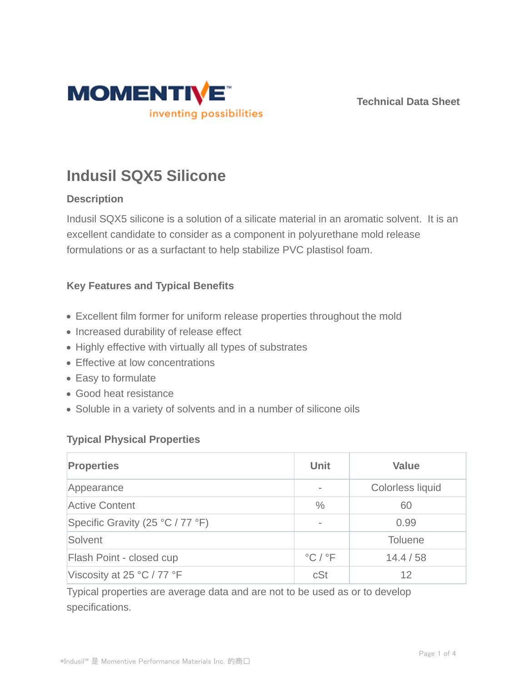

**Technical Data Sheet**

# **Indusil SQX5 Silicone**

# **Description**

Indusil SQX5 silicone is a solution of a silicate material in an aromatic solvent. It is an excellent candidate to consider as a component in polyurethane mold release formulations or as a surfactant to help stabilize PVC plastisol foam.

# **Key Features and Typical Benefits**

- Excellent film former for uniform release properties throughout the mold
- Increased durability of release effect
- Highly effective with virtually all types of substrates
- Effective at low concentrations
- Easy to formulate
- Good heat resistance
- Soluble in a variety of solvents and in a number of silicone oils

## **Typical Physical Properties**

| <b>Properties</b>                | Unit                                        | <b>Value</b>     |
|----------------------------------|---------------------------------------------|------------------|
| Appearance                       | $\overline{\phantom{0}}$                    | Colorless liquid |
| <b>Active Content</b>            | $\frac{0}{0}$                               | 60               |
| Specific Gravity (25 °C / 77 °F) | $\qquad \qquad \blacksquare$                | 0.99             |
| Solvent                          |                                             | <b>Toluene</b>   |
| Flash Point - closed cup         | $\mathrm{^{\circ}C}$ / $\mathrm{^{\circ}F}$ | 14.4 / 58        |
| Viscosity at 25 °C / 77 °F       | cSt                                         | 12               |

Typical properties are average data and are not to be used as or to develop specifications.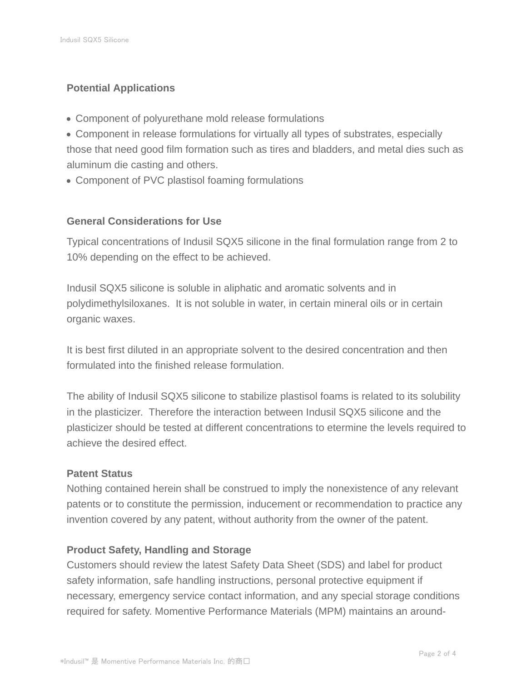## **Potential Applications**

- Component of polyurethane mold release formulations
- Component in release formulations for virtually all types of substrates, especially those that need good film formation such as tires and bladders, and metal dies such as aluminum die casting and others.
- Component of PVC plastisol foaming formulations

## **General Considerations for Use**

Typical concentrations of Indusil SQX5 silicone in the final formulation range from 2 to 10% depending on the effect to be achieved.

Indusil SQX5 silicone is soluble in aliphatic and aromatic solvents and in polydimethylsiloxanes. It is not soluble in water, in certain mineral oils or in certain organic waxes.

It is best first diluted in an appropriate solvent to the desired concentration and then formulated into the finished release formulation.

The ability of Indusil SQX5 silicone to stabilize plastisol foams is related to its solubility in the plasticizer. Therefore the interaction between Indusil SQX5 silicone and the plasticizer should be tested at different concentrations to etermine the levels required to achieve the desired effect.

## **Patent Status**

Nothing contained herein shall be construed to imply the nonexistence of any relevant patents or to constitute the permission, inducement or recommendation to practice any invention covered by any patent, without authority from the owner of the patent.

## **Product Safety, Handling and Storage**

Customers should review the latest Safety Data Sheet (SDS) and label for product safety information, safe handling instructions, personal protective equipment if necessary, emergency service contact information, and any special storage conditions required for safety. Momentive Performance Materials (MPM) maintains an around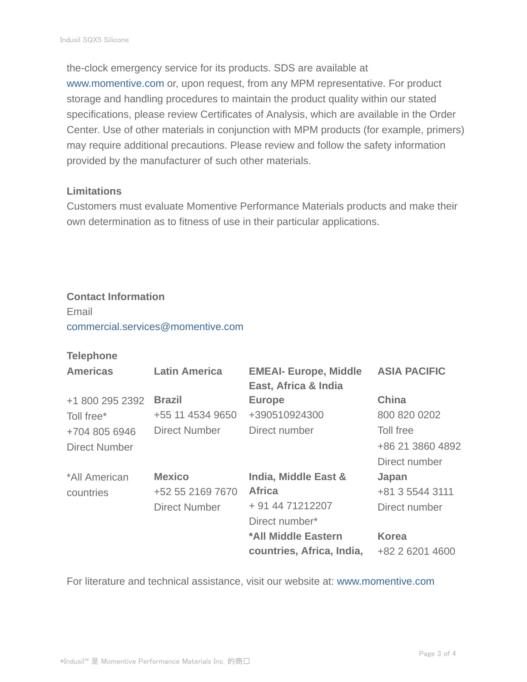the-clock emergency service for its products. SDS are available at www.momentive.com or, upon request, from any MPM representative. For product storage and handling procedures to maintain the product quality within our stated specifications, please review Certificates of Analysis, which are available in the Order Center. Use of other materials in conjunction with MPM products (for example, primers) may require additional precautions. Please review and follow the safety information provided by the manufacturer of such other materials.

#### **Limitations**

Customers must evaluate Momentive Performance Materials products and make their own determination as to fitness of use in their particular applications.

#### **Contact Information**

Email commercial.services@momentive.com

## **Telephone**

| <b>Americas</b>      | <b>Latin America</b> | <b>EMEAI- Europe, Middle</b><br>East, Africa & India | <b>ASIA PACIFIC</b> |
|----------------------|----------------------|------------------------------------------------------|---------------------|
| +1 800 295 2392      | <b>Brazil</b>        | <b>Europe</b>                                        | <b>China</b>        |
| Toll free*           | +55 11 4534 9650     | +390510924300                                        | 800 820 0202        |
| +704 805 6946        | Direct Number        | Direct number                                        | Toll free           |
| <b>Direct Number</b> |                      |                                                      | +86 21 3860 4892    |
|                      |                      |                                                      | Direct number       |
| *All American        | <b>Mexico</b>        | India, Middle East &                                 | Japan               |
| countries            | +52 55 2169 7670     | <b>Africa</b>                                        | +81 3 5544 3111     |
|                      | <b>Direct Number</b> | + 91 44 71212207                                     | Direct number       |
|                      |                      | Direct number*                                       |                     |
|                      |                      | *All Middle Eastern                                  | <b>Korea</b>        |
|                      |                      | countries, Africa, India,                            | +82 2 6201 4600     |

For literature and technical assistance, visit our website at: www.momentive.com